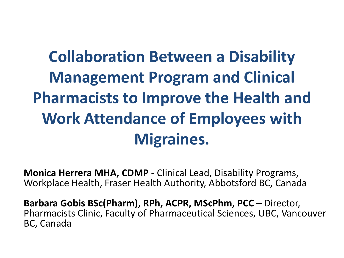### **Collaboration Between a Disability Management Program and Clinical Pharmacists to Improve the Health and Work Attendance of Employees with Migraines.**

**Monica Herrera MHA, CDMP -** Clinical Lead, Disability Programs, Workplace Health, Fraser Health Authority, Abbotsford BC, Canada

**Barbara Gobis BSc(Pharm), RPh, ACPR, MScPhm, PCC –** Director, Pharmacists Clinic, Faculty of Pharmaceutical Sciences, UBC, Vancouver BC, Canada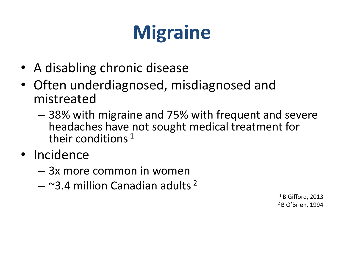## **Migraine**

- A disabling chronic disease
- Often underdiagnosed, misdiagnosed and mistreated
	- 38% with migraine and 75% with frequent and severe headaches have not sought medical treatment for their conditions<sup>1</sup>
- Incidence
	- 3x more common in women
	- $-$  ~3.4 million Canadian adults<sup>2</sup>

<sup>1</sup> B Gifford, 2013 2 B O'Brien, 1994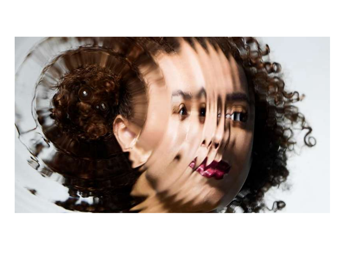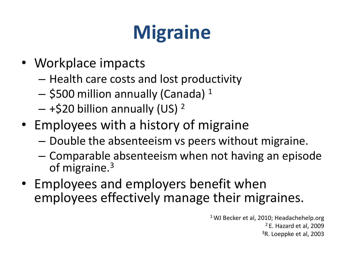## **Migraine**

- Workplace impacts
	- Health care costs and lost productivity
	- $-$  \$500 million annually (Canada)<sup>1</sup>
	- +\$20 billion annually (US) <sup>2</sup>
- Employees with a history of migraine
	- Double the absenteeism vs peers without migraine.
	- Comparable absenteeism when not having an episode of migraine.<sup>3</sup>
- Employees and employers benefit when employees effectively manage their migraines.

<sup>1</sup> WJ Becker et al, 2010; Headachehelp.org  $2$  E. Hazard et al, 2009  $3R$ . Loeppke et al, 2003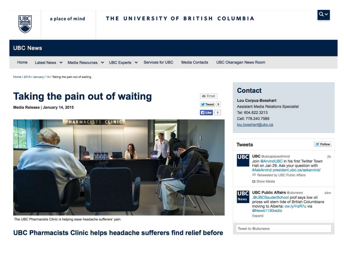|                                                                                                                                              | a place of mind                                             |                    |                  |                                                                                                                                                 | THE UNIVERSITY OF BRITISH COLUMBIA |                                                                                                                                                                                                                                      | $Q \vee$     |
|----------------------------------------------------------------------------------------------------------------------------------------------|-------------------------------------------------------------|--------------------|------------------|-------------------------------------------------------------------------------------------------------------------------------------------------|------------------------------------|--------------------------------------------------------------------------------------------------------------------------------------------------------------------------------------------------------------------------------------|--------------|
| <b>UBC News</b>                                                                                                                              |                                                             |                    |                  |                                                                                                                                                 |                                    |                                                                                                                                                                                                                                      |              |
| Home                                                                                                                                         | Latest News v<br>Media Resources V                          | UBC Experts $\vee$ | Services for UBC | <b>Media Contacts</b>                                                                                                                           | <b>UBC Okanagan News Room</b>      |                                                                                                                                                                                                                                      |              |
|                                                                                                                                              | Home / 2015 / January / 14 / Taking the pain out of waiting |                    |                  |                                                                                                                                                 |                                    |                                                                                                                                                                                                                                      |              |
| Taking the pain out of waiting<br>$\equiv$ Email<br>Tweet 8<br>Media Release   January 14, 2015<br><b>ET Like</b><br>9<br>PHARMACISTS CLINIC |                                                             |                    |                  | <b>Contact</b><br>Lou Corpuz-Bosshart<br>Assistant Media Relations Specialist<br>Tel: 604.822.3213<br>Cell: 778.240.7589<br>lou.bosshart@ubc.ca |                                    |                                                                                                                                                                                                                                      |              |
|                                                                                                                                              |                                                             |                    |                  |                                                                                                                                                 | <b>Tweets</b><br><b>UBC</b>        | <b>UBC</b> @ubcaplaceofmind<br>Join @ArvindUBC in his first Twitter Town<br>Hall on Jan 29. Ask your question with<br>#AskArvind president.ubc.ca/askarvind/<br><sup>13</sup> Retweeted by UBC Public Affairs<br><b>C</b> Show Media | Follow<br>2h |
|                                                                                                                                              |                                                             |                    |                  |                                                                                                                                                 | <b>UBC</b><br><b>News</b>          | <b>UBC Public Affairs @ubcnews</b><br>.@UBCSauderSchool prof says low oil<br>prices will stem tide of British Columbians<br>moving to Alberta: ow.ly/HzR7u via<br>@News1130radio<br>Expand                                           | 44m          |

Tweet to @ubcnews

The UBC Pharmacists Clinic is helping ease headache sufferers' pain.

#### UBC Pharmacists Clinic helps headache sufferers find relief before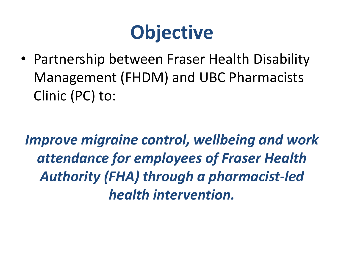## **Objective**

• Partnership between Fraser Health Disability Management (FHDM) and UBC Pharmacists Clinic (PC) to:

*Improve migraine control, wellbeing and work attendance for employees of Fraser Health Authority (FHA) through a pharmacist-led health intervention.*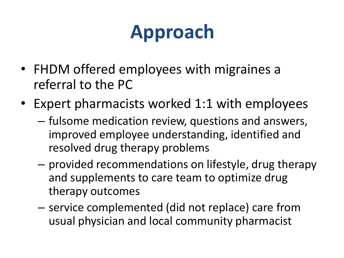## **Approach**

- FHDM offered employees with migraines a referral to the PC
- Expert pharmacists worked 1:1 with employees
	- fulsome medication review, questions and answers, improved employee understanding, identified and resolved drug therapy problems
	- provided recommendations on lifestyle, drug therapy and supplements to care team to optimize drug therapy outcomes
	- service complemented (did not replace) care from usual physician and local community pharmacist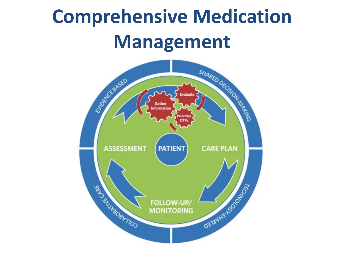## **Comprehensive Medication Management**

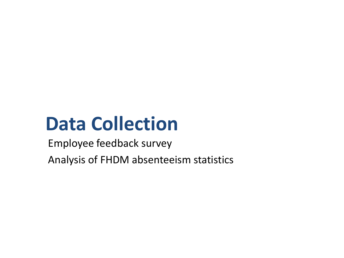## **Data Collection**

Employee feedback survey Analysis of FHDM absenteeism statistics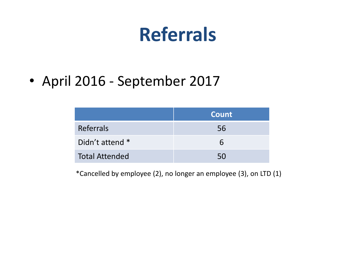## **Referrals**

• April 2016 - September 2017

|                       | <b>Count</b> |
|-----------------------|--------------|
| Referrals             | 56           |
| Didn't attend *       | h            |
| <b>Total Attended</b> | 50           |

\*Cancelled by employee (2), no longer an employee (3), on LTD (1)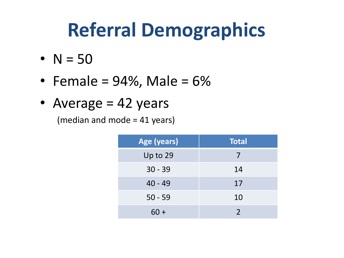## **Referral Demographics**

- $N = 50$
- Female =  $94\%$ , Male =  $6\%$
- Average = 42 years

(median and mode = 41 years)

| Age (years) | <b>Total</b> |
|-------------|--------------|
| Up to 29    | 7            |
| $30 - 39$   | 14           |
| $40 - 49$   | 17           |
| $50 - 59$   | 10           |
| $60 +$      |              |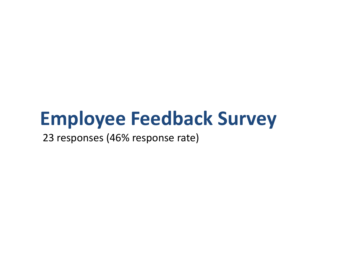## **Employee Feedback Survey**

23 responses (46% response rate)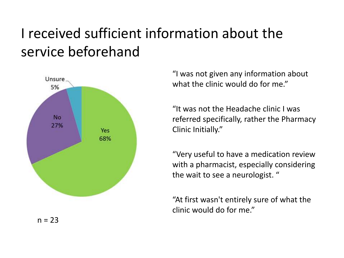#### I received sufficient information about the service beforehand



"I was not given any information about what the clinic would do for me."

"It was not the Headache clinic I was referred specifically, rather the Pharmacy Clinic Initially."

"Very useful to have a medication review with a pharmacist, especially considering the wait to see a neurologist. "

"At first wasn't entirely sure of what the clinic would do for me."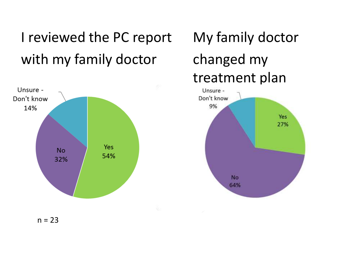### I reviewed the PC report My family doctor with my family doctor changed my



## treatment plan

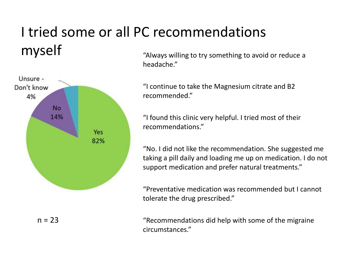#### I tried some or all PC recommendations myself "Always willing to try something to avoid or reduce a



headache."

"I continue to take the Magnesium citrate and B2 recommended."

"I found this clinic very helpful. I tried most of their recommendations."

"No. I did not like the recommendation. She suggested me taking a pill daily and loading me up on medication. I do not support medication and prefer natural treatments."

"Preventative medication was recommended but I cannot tolerate the drug prescribed."

 $n = 23$ 

"Recommendations did help with some of the migraine circumstances."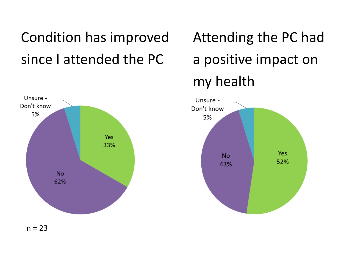#### Condition has improved Attending the PC had since I attended the PC a positive impact on



# my health



 $n = 23$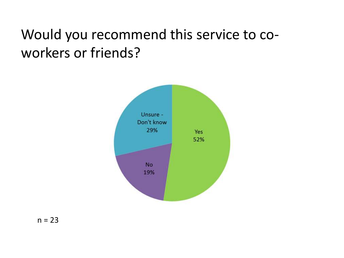#### Would you recommend this service to coworkers or friends?



 $n = 23$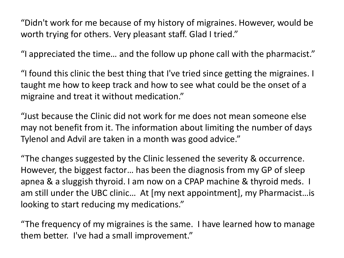"Didn't work for me because of my history of migraines. However, would be worth trying for others. Very pleasant staff. Glad I tried."

"I appreciated the time… and the follow up phone call with the pharmacist."

"I found this clinic the best thing that I've tried since getting the migraines. I taught me how to keep track and how to see what could be the onset of a migraine and treat it without medication."

"Just because the Clinic did not work for me does not mean someone else may not benefit from it. The information about limiting the number of days Tylenol and Advil are taken in a month was good advice."

"The changes suggested by the Clinic lessened the severity & occurrence. However, the biggest factor… has been the diagnosis from my GP of sleep apnea & a sluggish thyroid. I am now on a CPAP machine & thyroid meds. I am still under the UBC clinic… At [my next appointment], my Pharmacist…is looking to start reducing my medications."

"The frequency of my migraines is the same. I have learned how to manage them better. I've had a small improvement."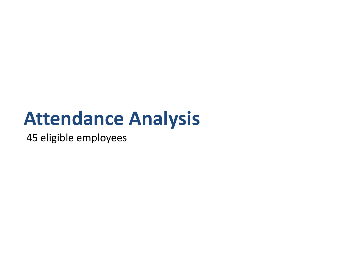## **Attendance Analysis**

45 eligible employees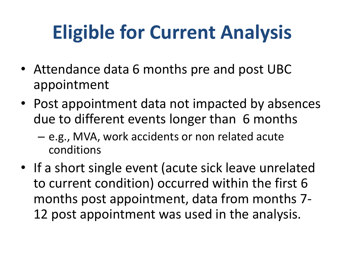## **Eligible for Current Analysis**

- Attendance data 6 months pre and post UBC appointment
- Post appointment data not impacted by absences due to different events longer than 6 months
	- e.g., MVA, work accidents or non related acute conditions
- If a short single event (acute sick leave unrelated to current condition) occurred within the first 6 months post appointment, data from months 7- 12 post appointment was used in the analysis.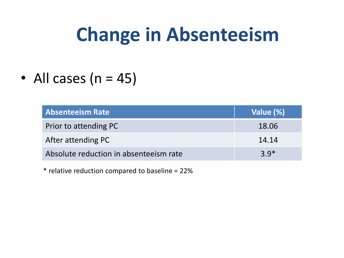## **Change in Absenteeism**

• All cases  $(n = 45)$ 

| <b>Absenteeism Rate</b>                | Value (%) |
|----------------------------------------|-----------|
| Prior to attending PC                  | 18.06     |
| After attending PC                     | 14.14     |
| Absolute reduction in absenteeism rate | $3.9*$    |

\* relative reduction compared to baseline = 22%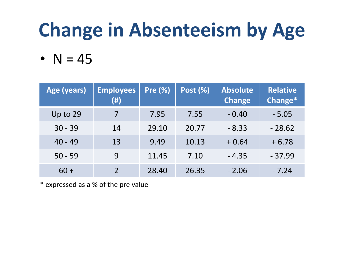## **Change in Absenteeism by Age**

•  $N = 45$ 

| Age (years) | <b>Employees</b><br>$(\#)$ | <b>Pre (%)</b> | <b>Post (%)</b> | <b>Absolute</b><br><b>Change</b> | <b>Relative</b><br>Change* |
|-------------|----------------------------|----------------|-----------------|----------------------------------|----------------------------|
| Up to 29    | 7                          | 7.95           | 7.55            | $-0.40$                          | $-5.05$                    |
| $30 - 39$   | 14                         | 29.10          | 20.77           | $-8.33$                          | $-28.62$                   |
| $40 - 49$   | 13                         | 9.49           | 10.13           | $+0.64$                          | $+6.78$                    |
| $50 - 59$   | 9                          | 11.45          | 7.10            | $-4.35$                          | $-37.99$                   |
| $60 +$      | $\mathcal{P}$              | 28.40          | 26.35           | $-2.06$                          | $-7.24$                    |

\* expressed as a % of the pre value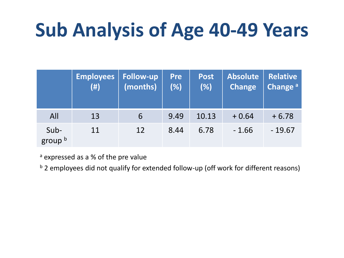## **Sub Analysis of Age 40-49 Years**

|                 | <b>Employees</b><br>(#) | <b>Follow-up</b><br>(months) | <b>Pre</b><br>(%) | <b>Post</b><br>(%) | <b>Absolute</b><br><b>Change</b> | <b>Relative</b><br>Change <sup>a</sup> |
|-----------------|-------------------------|------------------------------|-------------------|--------------------|----------------------------------|----------------------------------------|
| All             | 13                      | 6                            | 9.49              | 10.13              | $+0.64$                          | $+6.78$                                |
| Sub-<br>group b | 11                      | 12                           | 8.44              | 6.78               | $-1.66$                          | $-19.67$                               |

a expressed as a % of the pre value

b 2 employees did not qualify for extended follow-up (off work for different reasons)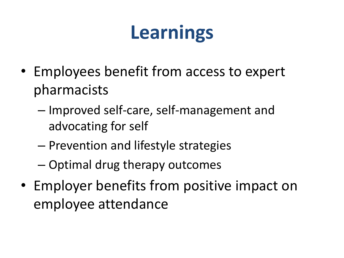## **Learnings**

- Employees benefit from access to expert pharmacists
	- Improved self-care, self-management and advocating for self
	- Prevention and lifestyle strategies
	- Optimal drug therapy outcomes
- Employer benefits from positive impact on employee attendance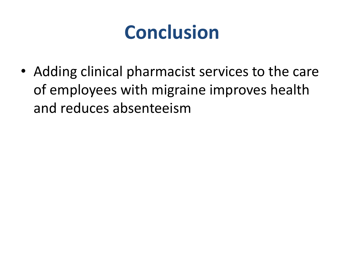## **Conclusion**

• Adding clinical pharmacist services to the care of employees with migraine improves health and reduces absenteeism